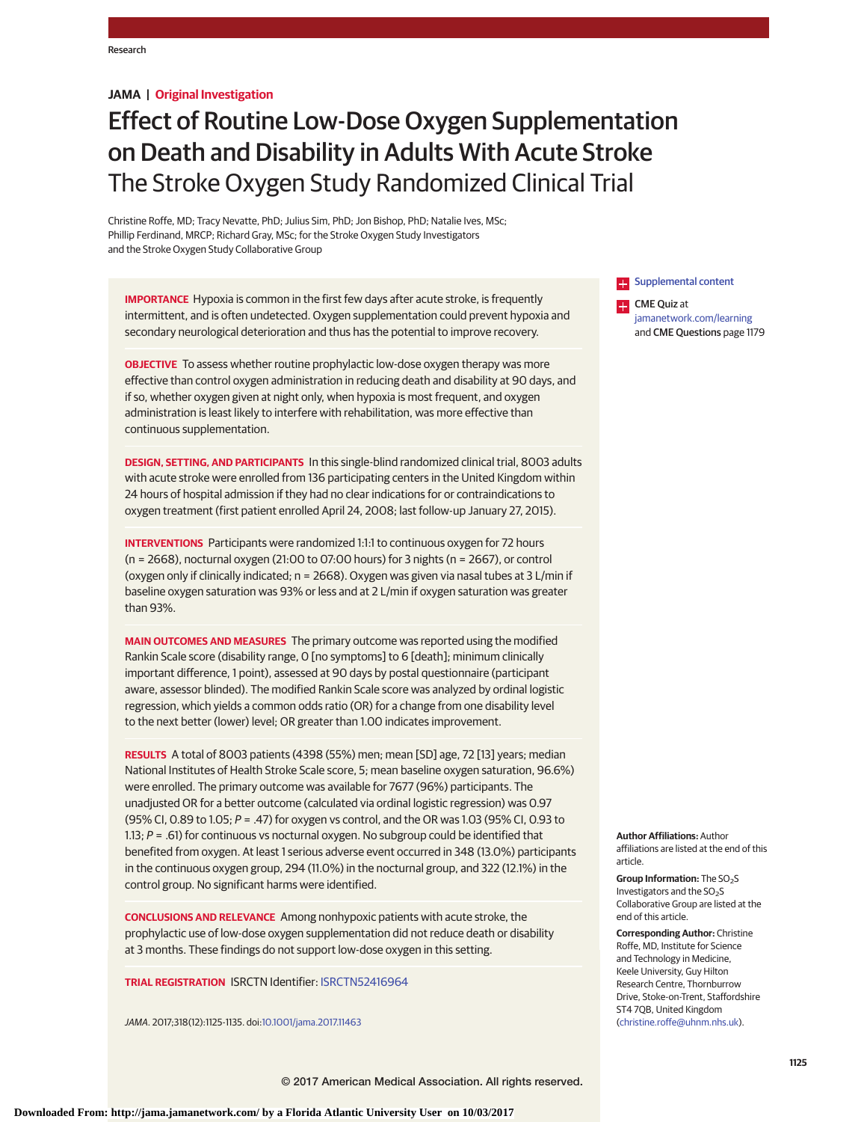**JAMA | Original Investigation**

# Effect of Routine Low-Dose Oxygen Supplementation on Death and Disability in Adults With Acute Stroke The Stroke Oxygen Study Randomized Clinical Trial

Christine Roffe, MD; Tracy Nevatte, PhD; Julius Sim, PhD; Jon Bishop, PhD; Natalie Ives, MSc; Phillip Ferdinand, MRCP; Richard Gray, MSc; for the Stroke Oxygen Study Investigators and the Stroke Oxygen Study Collaborative Group

**IMPORTANCE** Hypoxia is common in the first few days after acute stroke, is frequently intermittent, and is often undetected. Oxygen supplementation could prevent hypoxia and secondary neurological deterioration and thus has the potential to improve recovery.

**OBJECTIVE** To assess whether routine prophylactic low-dose oxygen therapy was more effective than control oxygen administration in reducing death and disability at 90 days, and if so, whether oxygen given at night only, when hypoxia is most frequent, and oxygen administration is least likely to interfere with rehabilitation, was more effective than continuous supplementation.

**DESIGN, SETTING, AND PARTICIPANTS** In this single-blind randomized clinical trial, 8003 adults with acute stroke were enrolled from 136 participating centers in the United Kingdom within 24 hours of hospital admission if they had no clear indications for or contraindications to oxygen treatment (first patient enrolled April 24, 2008; last follow-up January 27, 2015).

**INTERVENTIONS** Participants were randomized 1:1:1 to continuous oxygen for 72 hours (n = 2668), nocturnal oxygen (21:00 to 07:00 hours) for 3 nights (n = 2667), or control (oxygen only if clinically indicated; n = 2668). Oxygen was given via nasal tubes at 3 L/min if baseline oxygen saturation was 93% or less and at 2 L/min if oxygen saturation was greater than 93%.

**MAIN OUTCOMES AND MEASURES** The primary outcome was reported using the modified Rankin Scale score (disability range, 0 [no symptoms] to 6 [death]; minimum clinically important difference, 1 point), assessed at 90 days by postal questionnaire (participant aware, assessor blinded). The modified Rankin Scale score was analyzed by ordinal logistic regression, which yields a common odds ratio (OR) for a change from one disability level to the next better (lower) level; OR greater than 1.00 indicates improvement.

**RESULTS** A total of 8003 patients (4398 (55%) men; mean [SD] age, 72 [13] years; median National Institutes of Health Stroke Scale score, 5; mean baseline oxygen saturation, 96.6%) were enrolled. The primary outcome was available for 7677 (96%) participants. The unadjusted OR for a better outcome (calculated via ordinal logistic regression) was 0.97 (95% CI, 0.89 to 1.05; P = .47) for oxygen vs control, and the OR was 1.03 (95% CI, 0.93 to 1.13;  $P = .61$ ) for continuous vs nocturnal oxygen. No subgroup could be identified that benefited from oxygen. At least 1 serious adverse event occurred in 348 (13.0%) participants in the continuous oxygen group, 294 (11.0%) in the nocturnal group, and 322 (12.1%) in the control group. No significant harms were identified.

**CONCLUSIONS AND RELEVANCE** Among nonhypoxic patients with acute stroke, the prophylactic use of low-dose oxygen supplementation did not reduce death or disability at 3 months. These findings do not support low-dose oxygen in this setting.

**TRIAL REGISTRATION** ISRCTN Identifier: [ISRCTN52416964](http://www.controlled-trials.com/ISRCTN52416964)

JAMA. 2017;318(12):1125-1135. doi[:10.1001/jama.2017.11463](http://jama.jamanetwork.com/article.aspx?doi=10.1001/jama.2017.11463&utm_campaign=articlePDF%26utm_medium=articlePDFlink%26utm_source=articlePDF%26utm_content=jama.2017.11463)

**Examplemental content** 

**CME** Quiz at [jamanetwork.com/learning](http://www.jamanetwork.com/learning/?utm_campaign=articlePDF%26utm_medium=articlePDFlink%26utm_source=articlePDF%26utm_content=jama.2017.11463) and CME Questions page 1179

**Author Affiliations:** Author affiliations are listed at the end of this article.

**Group Information:** The SO<sub>2</sub>S Investigators and the SO<sub>2</sub>S Collaborative Group are listed at the end of this article.

**Corresponding Author:** Christine Roffe, MD, Institute for Science and Technology in Medicine, Keele University, Guy Hilton Research Centre, Thornburrow Drive, Stoke-on-Trent, Staffordshire ST4 7QB, United Kingdom [\(christine.roffe@uhnm.nhs.uk\)](mailto:christine.roffe@uhnm.nhs.uk).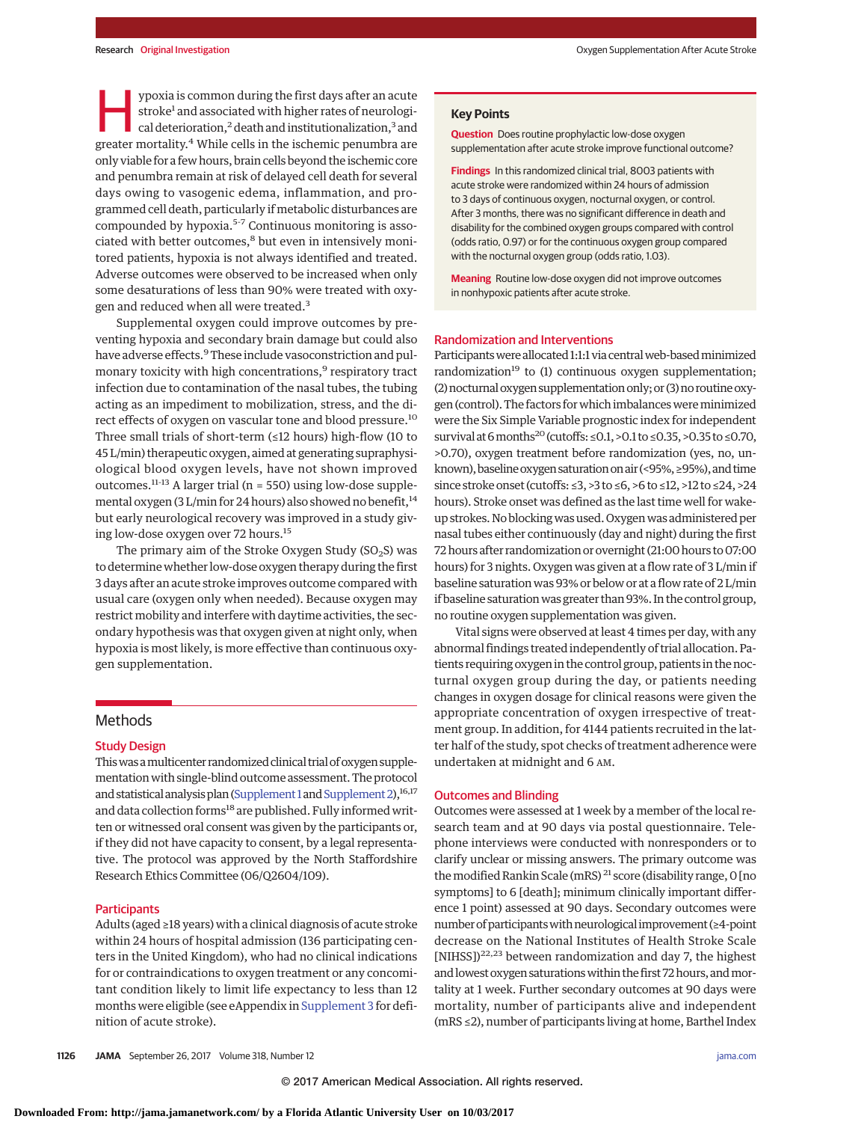ypoxia is common during the first days after an acute stroke<sup>1</sup> and associated with higher rates of neurological deterioration,<sup>2</sup> death and institutionalization,<sup>3</sup> and greater mortality.<sup>4</sup> While cells in the ischemic penumbra are only viable for a few hours, brain cells beyond the ischemic core and penumbra remain at risk of delayed cell death for several days owing to vasogenic edema, inflammation, and programmed cell death, particularly if metabolic disturbances are compounded by hypoxia.<sup>5-7</sup> Continuous monitoring is associated with better outcomes,<sup>8</sup> but even in intensively monitored patients, hypoxia is not always identified and treated. Adverse outcomes were observed to be increased when only some desaturations of less than 90% were treated with oxygen and reduced when all were treated.<sup>3</sup>

Supplemental oxygen could improve outcomes by preventing hypoxia and secondary brain damage but could also have adverse effects.<sup>9</sup> These include vasoconstriction and pulmonary toxicity with high concentrations,<sup>9</sup> respiratory tract infection due to contamination of the nasal tubes, the tubing acting as an impediment to mobilization, stress, and the direct effects of oxygen on vascular tone and blood pressure.<sup>10</sup> Three small trials of short-term (≤12 hours) high-flow (10 to 45 L/min) therapeutic oxygen, aimed at generating supraphysiological blood oxygen levels, have not shown improved outcomes.<sup>11-13</sup> A larger trial ( $n = 550$ ) using low-dose supplemental oxygen (3 L/min for 24 hours) also showed no benefit,<sup>14</sup> but early neurological recovery was improved in a study giving low-dose oxygen over 72 hours.<sup>15</sup>

The primary aim of the Stroke Oxygen Study ( $SO_2S$ ) was to determine whether low-dose oxygen therapy during the first 3 days after an acute stroke improves outcome compared with usual care (oxygen only when needed). Because oxygen may restrict mobility and interfere with daytime activities, the secondary hypothesis was that oxygen given at night only, when hypoxia is most likely, is more effective than continuous oxygen supplementation.

## **Methods**

## Study Design

This was a multicenter randomized clinical trial of oxygen supplementation with single-blind outcome assessment. The protocol and statistical analysis plan [\(Supplement 1](http://jama.jamanetwork.com/article.aspx?doi=10.1001/jama.2017.11463&utm_campaign=articlePDF%26utm_medium=articlePDFlink%26utm_source=articlePDF%26utm_content=jama.2017.11463) and Supplement 2),<sup>16,17</sup> and data collection forms<sup>18</sup> are published. Fully informed written or witnessed oral consent was given by the participants or, if they did not have capacity to consent, by a legal representative. The protocol was approved by the North Staffordshire Research Ethics Committee (06/Q2604/109).

## **Participants**

Adults (aged ≥18 years) with a clinical diagnosis of acute stroke within 24 hours of hospital admission (136 participating centers in the United Kingdom), who had no clinical indications for or contraindications to oxygen treatment or any concomitant condition likely to limit life expectancy to less than 12 months were eligible (see eAppendix in [Supplement 3](http://jama.jamanetwork.com/article.aspx?doi=10.1001/jama.2017.11463&utm_campaign=articlePDF%26utm_medium=articlePDFlink%26utm_source=articlePDF%26utm_content=jama.2017.11463) for definition of acute stroke).

#### **Key Points**

**Question** Does routine prophylactic low-dose oxygen supplementation after acute stroke improve functional outcome?

**Findings** In this randomized clinical trial, 8003 patients with acute stroke were randomized within 24 hours of admission to 3 days of continuous oxygen, nocturnal oxygen, or control. After 3 months, there was no significant difference in death and disability for the combined oxygen groups compared with control (odds ratio, 0.97) or for the continuous oxygen group compared with the nocturnal oxygen group (odds ratio, 1.03).

**Meaning** Routine low-dose oxygen did not improve outcomes in nonhypoxic patients after acute stroke.

#### Randomization and Interventions

Participants were allocated 1:1:1 via central web-based minimized randomization<sup>19</sup> to  $(1)$  continuous oxygen supplementation; (2) nocturnal oxygen supplementation only; or (3) no routine oxygen (control). The factors for which imbalances were minimized were the Six Simple Variable prognostic index for independent survival at 6 months<sup>20</sup> (cutoffs: ≤0.1, >0.1 to ≤0.35, >0.35 to ≤0.70, >0.70), oxygen treatment before randomization (yes, no, unknown), baseline oxygen saturation on air (<95%, ≥95%), and time since stroke onset (cutoffs: ≤3, >3 to ≤6, >6 to ≤12, >12 to ≤24, >24 hours). Stroke onset was defined as the last time well for wakeup strokes. No blockingwas used. Oxygenwas administered per nasal tubes either continuously (day and night) during the first 72 hours after randomization or overnight (21:00 hours to07:00 hours) for 3 nights. Oxygen was given at a flow rate of 3 L/min if baseline saturation was 93% or below or at a flow rate of 2 L/min if baseline saturation was greater than 93%. In the control group, no routine oxygen supplementation was given.

Vital signs were observed at least 4 times per day, with any abnormal findings treated independently of trial allocation. Patients requiring oxygen in the control group, patients in the nocturnal oxygen group during the day, or patients needing changes in oxygen dosage for clinical reasons were given the appropriate concentration of oxygen irrespective of treatment group. In addition, for 4144 patients recruited in the latter half of the study, spot checks of treatment adherence were undertaken at midnight and 6 AM.

#### Outcomes and Blinding

Outcomes were assessed at 1 week by a member of the local research team and at 90 days via postal questionnaire. Telephone interviews were conducted with nonresponders or to clarify unclear or missing answers. The primary outcome was the modified Rankin Scale (mRS)<sup>21</sup> score (disability range, 0 [no symptoms] to 6 [death]; minimum clinically important difference 1 point) assessed at 90 days. Secondary outcomes were number of participants with neurological improvement (≥4-point decrease on the National Institutes of Health Stroke Scale [NIHSS])22,23 between randomization and day 7, the highest and lowest oxygen saturations within the first 72 hours, and mortality at 1 week. Further secondary outcomes at 90 days were mortality, number of participants alive and independent (mRS ≤2), number of participants living at home, Barthel Index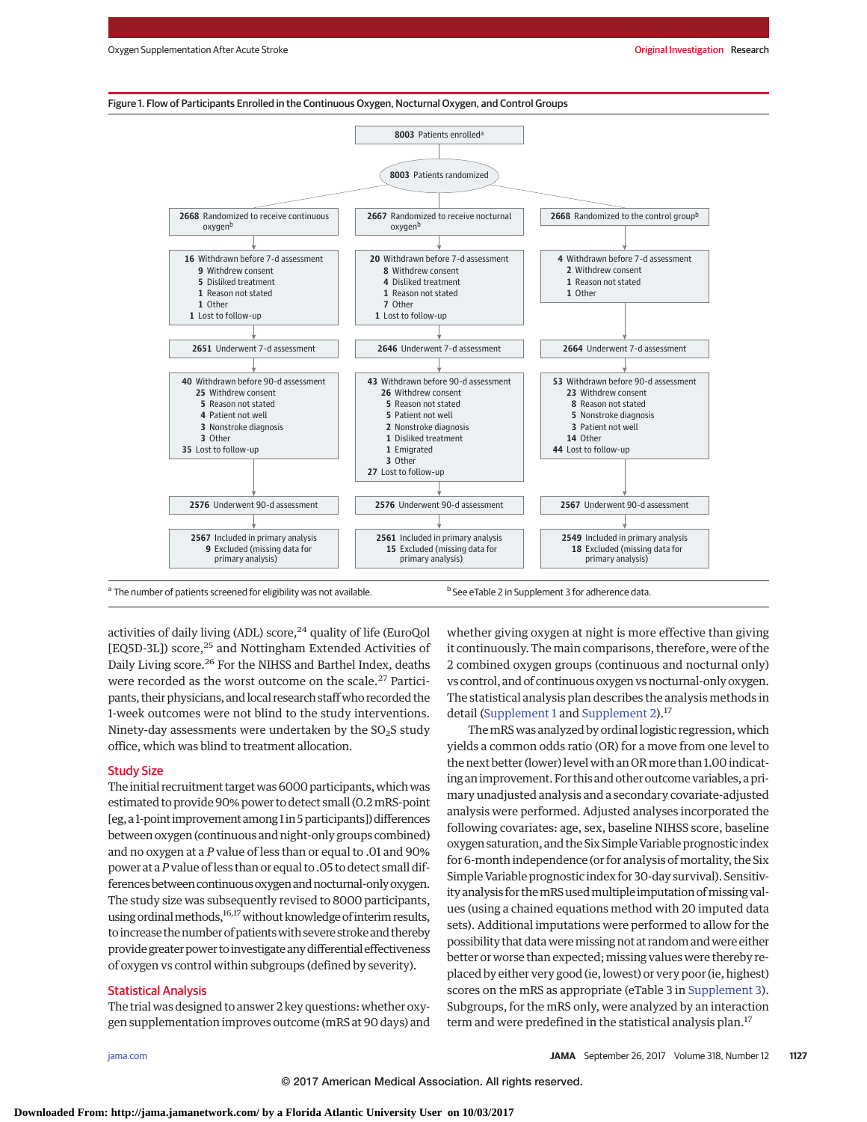



<sup>a</sup> The number of patients screened for eligibility was not available. b See eTable 2 in Supplement 3 for adherence data.

activities of daily living (ADL) score, $24$  quality of life (EuroQol [EQ5D-3L]) score,<sup>25</sup> and Nottingham Extended Activities of Daily Living score.26 For the NIHSS and Barthel Index, deaths were recorded as the worst outcome on the scale.<sup>27</sup> Participants, their physicians, and local research staff who recorded the 1-week outcomes were not blind to the study interventions. Ninety-day assessments were undertaken by the  $SO<sub>2</sub>S$  study office, which was blind to treatment allocation.

## Study Size

The initial recruitment target was 6000 participants, which was estimated to provide 90% power to detect small (0.2mRS-point [eg, a 1-point improvement among 1 in 5 participants]) differences between oxygen (continuous and night-only groups combined) and no oxygen at a *P* value of less than or equal to .01 and 90% power at a*P*value of less than or equal to .05 to detect small differences between continuous oxygen and nocturnal-only oxygen. The study size was subsequently revised to 8000 participants, using ordinal methods,<sup>16,17</sup> without knowledge of interim results, to increase the number of patients with severe stroke and thereby provide greater power to investigate any differential effectiveness of oxygen vs control within subgroups (defined by severity).

# Statistical Analysis

The trial was designed to answer 2 key questions: whether oxygen supplementation improves outcome (mRS at 90 days) and whether giving oxygen at night is more effective than giving it continuously. The main comparisons, therefore, were of the 2 combined oxygen groups (continuous and nocturnal only) vs control, and of continuous oxygen vs nocturnal-only oxygen. The statistical analysis plan describes the analysis methods in detail [\(Supplement 1](http://jama.jamanetwork.com/article.aspx?doi=10.1001/jama.2017.11463&utm_campaign=articlePDF%26utm_medium=articlePDFlink%26utm_source=articlePDF%26utm_content=jama.2017.11463) and [Supplement 2\)](http://jama.jamanetwork.com/article.aspx?doi=10.1001/jama.2017.11463&utm_campaign=articlePDF%26utm_medium=articlePDFlink%26utm_source=articlePDF%26utm_content=jama.2017.11463).<sup>17</sup>

ThemRS was analyzed by ordinal logistic regression, which yields a common odds ratio (OR) for a move from one level to the next better (lower) level with an OR more than 1.00 indicating an improvement. For this and other outcome variables, a primary unadjusted analysis and a secondary covariate-adjusted analysis were performed. Adjusted analyses incorporated the following covariates: age, sex, baseline NIHSS score, baseline oxygen saturation, and the Six Simple Variable prognostic index for 6-month independence (or for analysis of mortality, the Six Simple Variable prognostic index for 30-day survival). Sensitivity analysis for the mRS used multiple imputation of missing values (using a chained equations method with 20 imputed data sets). Additional imputations were performed to allow for the possibility that data were missing not at random and were either better or worse than expected; missing values were thereby replaced by either very good (ie, lowest) or very poor (ie, highest) scores on the mRS as appropriate (eTable 3 in [Supplement 3\)](http://jama.jamanetwork.com/article.aspx?doi=10.1001/jama.2017.11463&utm_campaign=articlePDF%26utm_medium=articlePDFlink%26utm_source=articlePDF%26utm_content=jama.2017.11463). Subgroups, for the mRS only, were analyzed by an interaction term and were predefined in the statistical analysis plan.<sup>17</sup>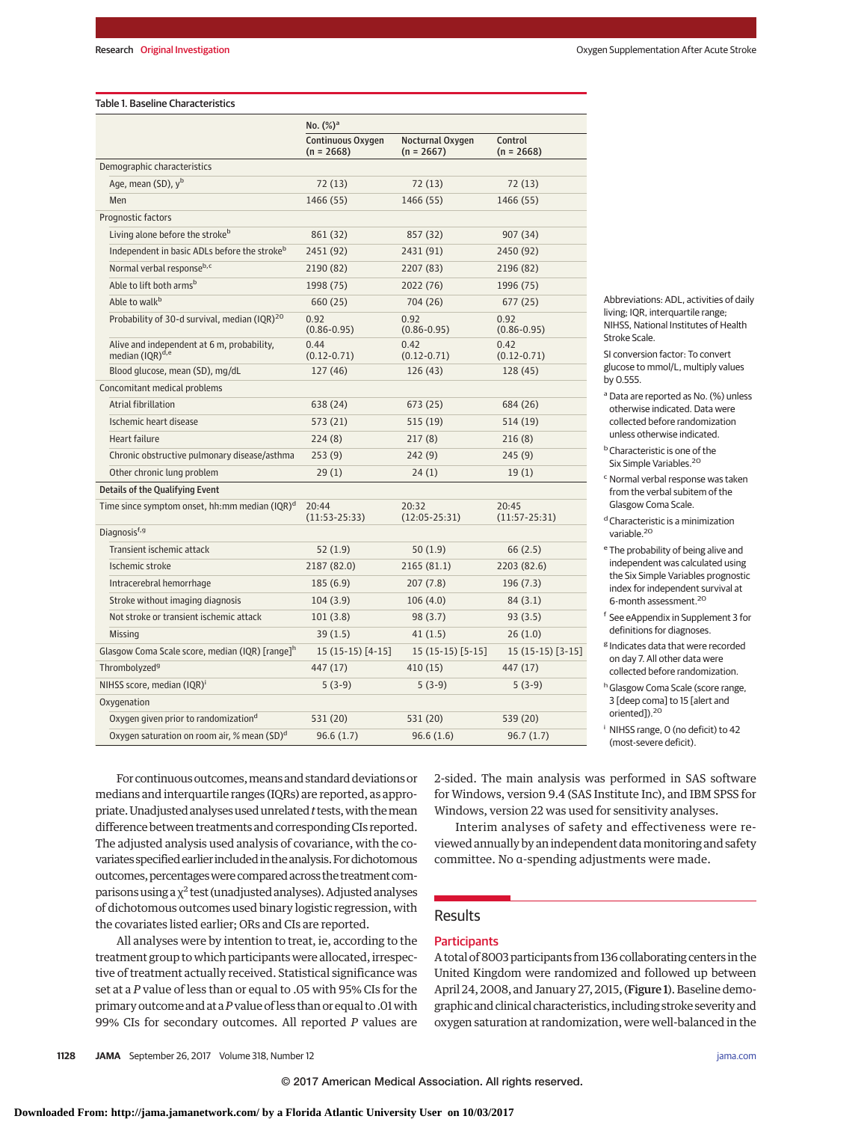#### Table 1. Baseline Characteristics

|                                                                           | No. $(\%)^a$                      |                                  |                          |  |  |
|---------------------------------------------------------------------------|-----------------------------------|----------------------------------|--------------------------|--|--|
|                                                                           | Continuous Oxygen<br>$(n = 2668)$ | Nocturnal Oxygen<br>$(n = 2667)$ | Control<br>$(n = 2668)$  |  |  |
| Demographic characteristics                                               |                                   |                                  |                          |  |  |
| Age, mean (SD), y <sup>b</sup>                                            | 72 (13)                           | 72 (13)                          | 72(13)                   |  |  |
| Men                                                                       | 1466 (55)                         | 1466 (55)                        | 1466 (55)                |  |  |
| Prognostic factors                                                        |                                   |                                  |                          |  |  |
| Living alone before the stroke <sup>b</sup>                               | 861 (32)                          | 857 (32)                         | 907 (34)                 |  |  |
| Independent in basic ADLs before the stroke <sup>b</sup>                  | 2451 (92)                         | 2431 (91)                        | 2450 (92)                |  |  |
| Normal verbal responseb,c                                                 | 2190 (82)                         | 2207 (83)                        | 2196 (82)                |  |  |
| Able to lift both arms <sup>b</sup>                                       | 1998 (75)                         | 2022 (76)                        | 1996 (75)                |  |  |
| Able to walk <sup>b</sup>                                                 | 660 (25)                          | 704 (26)                         | 677(25)                  |  |  |
| Probability of 30-d survival, median (IQR) <sup>20</sup>                  | 0.92<br>$(0.86 - 0.95)$           | 0.92<br>$(0.86 - 0.95)$          | 0.92<br>$(0.86 - 0.95)$  |  |  |
| Alive and independent at 6 m, probability,<br>median (IOR) <sup>d,e</sup> | 0.44<br>$(0.12 - 0.71)$           | 0.42<br>$(0.12 - 0.71)$          | 0.42<br>$(0.12 - 0.71)$  |  |  |
| Blood glucose, mean (SD), mg/dL                                           | 127 (46)                          | 126(43)                          | 128 (45)                 |  |  |
| Concomitant medical problems                                              |                                   |                                  |                          |  |  |
| Atrial fibrillation                                                       | 638 (24)                          | 673 (25)                         | 684 (26)                 |  |  |
| Ischemic heart disease                                                    | 573 (21)                          | 515 (19)                         | 514 (19)                 |  |  |
| <b>Heart failure</b>                                                      | 224(8)                            | 217(8)                           | 216(8)                   |  |  |
| Chronic obstructive pulmonary disease/asthma                              | 253(9)                            | 242(9)                           | 245(9)                   |  |  |
| Other chronic lung problem                                                | 29(1)                             | 24(1)                            | 19(1)                    |  |  |
| Details of the Qualifying Event                                           |                                   |                                  |                          |  |  |
| Time since symptom onset, hh:mm median (IQR) <sup>d</sup>                 | 20:44<br>$(11:53-25:33)$          | 20:32<br>$(12:05-25:31)$         | 20:45<br>$(11:57-25:31)$ |  |  |
| Diagnosis <sup>f, g</sup>                                                 |                                   |                                  |                          |  |  |
| Transient ischemic attack                                                 | 52(1.9)                           | 50 (1.9)                         | 66(2.5)                  |  |  |
| Ischemic stroke                                                           | 2187 (82.0)                       | 2165 (81.1)                      | 2203 (82.6)              |  |  |
| Intracerebral hemorrhage                                                  | 185 (6.9)                         | 207 (7.8)                        | 196(7.3)                 |  |  |
| Stroke without imaging diagnosis                                          | 104(3.9)                          | 106(4.0)                         | 84 (3.1)                 |  |  |
| Not stroke or transient ischemic attack                                   | 101(3.8)                          | 98(3.7)                          | 93(3.5)                  |  |  |
| Missing                                                                   | 39(1.5)                           | 41(1.5)                          | 26(1.0)                  |  |  |
| Glasgow Coma Scale score, median (IQR) [range] <sup>h</sup>               | 15 (15-15) [4-15]                 | $15(15-15)[5-15]$                | $15(15-15)[3-15]$        |  |  |
| Thrombolyzed <sup>9</sup>                                                 | 447 (17)                          | 410 (15)                         | 447 (17)                 |  |  |
| NIHSS score, median (IQR) <sup>i</sup>                                    | $5(3-9)$                          | $5(3-9)$                         | $5(3-9)$                 |  |  |
| Oxygenation                                                               |                                   |                                  |                          |  |  |
| Oxygen given prior to randomization <sup>d</sup>                          | 531 (20)                          | 531 (20)                         | 539 (20)                 |  |  |
| Oxygen saturation on room air, % mean (SD) <sup>d</sup>                   | 96.6(1.7)                         | 96.6(1.6)                        | 96.7(1.7)                |  |  |

Abbreviations: ADL, activities of daily living; IQR, interquartile range; NIHSS, National Institutes of Health Stroke Scale.

SI conversion factor: To convert glucose to mmol/L, multiply values by 0.555.

<sup>a</sup> Data are reported as No. (%) unless otherwise indicated. Data were collected before randomization unless otherwise indicated.

bCharacteristic is one of the Six Simple Variables.<sup>20</sup>

<sup>c</sup> Normal verbal response was taken from the verbal subitem of the Glasgow Coma Scale.

<sup>d</sup> Characteristic is a minimization variable.<sup>20</sup>

- <sup>e</sup> The probability of being alive and independent was calculated using the Six Simple Variables prognostic index for independent survival at 6-month assessment.20
- <sup>f</sup> See eAppendix in Supplement 3 for definitions for diagnoses.
- <sup>g</sup> Indicates data that were recorded on day 7. All other data were collected before randomization.
- h Glasgow Coma Scale (score range, 3 [deep coma] to 15 [alert and oriented]).20

<sup>i</sup> NIHSS range, 0 (no deficit) to 42 (most-severe deficit).

For continuous outcomes, means and standard deviations or medians and interquartile ranges (IQRs) are reported, as appropriate. Unadjusted analyses used unrelated *t* tests, with the mean difference between treatments and corresponding CIs reported. The adjusted analysis used analysis of covariance, with the covariates specified earlier included in the analysis. For dichotomous outcomes, percentages were compared across the treatment comparisons using a  $\chi^2$  test (unadjusted analyses). Adjusted analyses of dichotomous outcomes used binary logistic regression, with the covariates listed earlier; ORs and CIs are reported.

All analyses were by intention to treat, ie, according to the treatment group to which participants were allocated, irrespective of treatment actually received. Statistical significance was set at a *P* value of less than or equal to .05 with 95% CIs for the primary outcome and at a*P*value of less than or equal to .01with 99% CIs for secondary outcomes. All reported *P* values are 2-sided. The main analysis was performed in SAS software for Windows, version 9.4 (SAS Institute Inc), and IBM SPSS for Windows, version 22 was used for sensitivity analyses.

Interim analyses of safety and effectiveness were reviewed annually by an independent datamonitoring and safety committee. No α-spending adjustments were made.

## **Results**

## **Participants**

A total of 8003 participants from 136 collaborating centers in the United Kingdom were randomized and followed up between April 24, 2008, and January 27, 2015, (Figure 1). Baseline demographic and clinical characteristics, including stroke severity and oxygen saturation at randomization, were well-balanced in the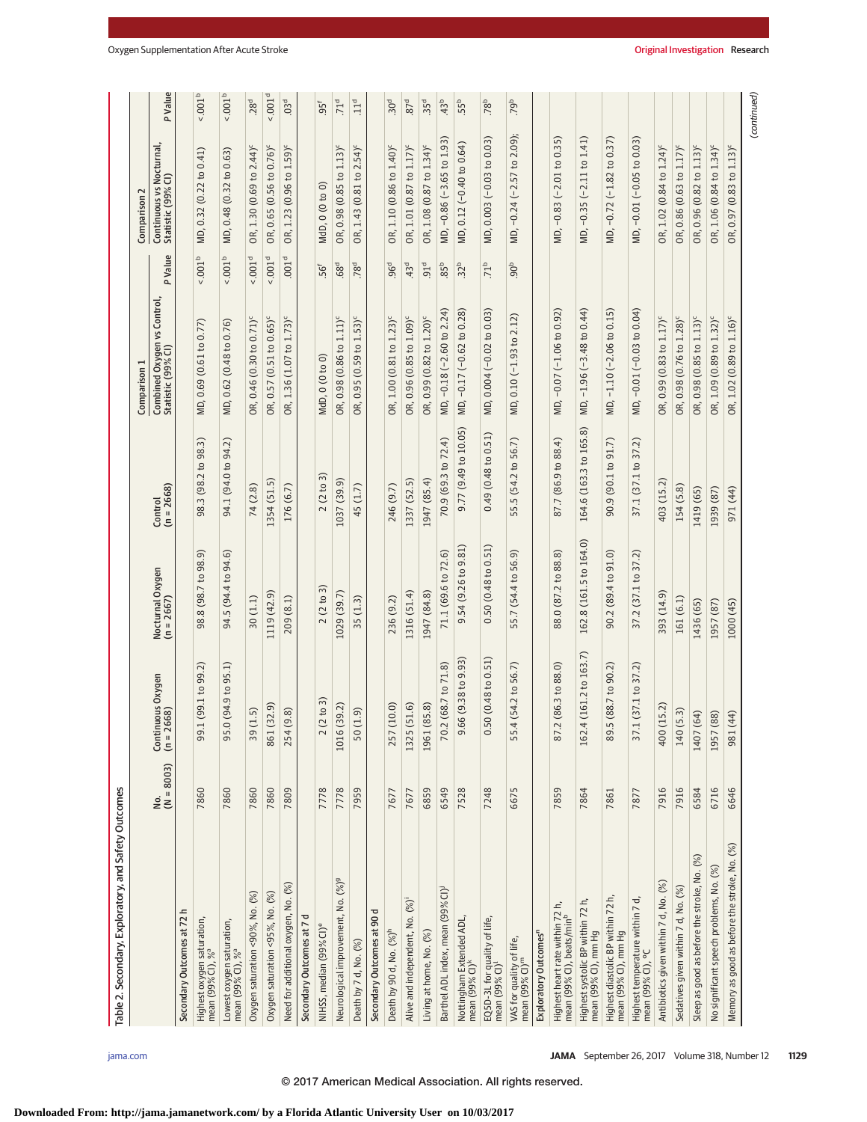| Table 2. Secondary, Exploratory, and Safety Outcomes                     |                          |                                             |                                |                         |                                                   |                    |                                                |                    |
|--------------------------------------------------------------------------|--------------------------|---------------------------------------------|--------------------------------|-------------------------|---------------------------------------------------|--------------------|------------------------------------------------|--------------------|
|                                                                          |                          |                                             |                                |                         | Comparison 1                                      |                    | Comparison 2                                   |                    |
|                                                                          | $\frac{No.}{(N = 8003)}$ | tinuous Oxygen<br>2668)<br>Contin<br>(n = 2 | Nocturnal Oxygen<br>(n = 2667) | $(n = 2668)$<br>Control | Combined Oxygen vs Control,<br>Statistic (99% CI) | P Value            | Continuous vs Nocturnal,<br>Statistic (99% CI) | P Value            |
| Secondary Outcomes at 72 h                                               |                          |                                             |                                |                         |                                                   |                    |                                                |                    |
| Highest oxygen saturation,<br>mean (99% Cl), % <sup>a</sup>              | 7860                     | .1(99.1 to 99.2)<br>99                      | 98.8 (98.7 to 98.9)            | 98.3 (98.2 to 98.3)     | MD, 0.69 (0.61 to 0.77)                           | 0.001 <sup>b</sup> | MD, 0.32 (0.22 to 0.41)                        | 0.001 <sup>b</sup> |
| Lowest oxygen saturation,<br>mean (99% CI), % <sup>a</sup>               | 7860                     | 0(94.9 to 95.1)<br>95                       | 94.5 (94.4 to 94.6)            | 94.1 (94.0 to 94.2)     | MD, 0.62 (0.48 to 0.76)                           | $<.001b$           | MD, 0.48 (0.32 to 0.63)                        | $0.001^b$          |
| Oxygen saturation <90%, No. (%)                                          | 7860                     | (1.5)<br>59                                 | 30(1.1)                        | 74 (2.8)                | OR, 0.46 (0.30 to 0.71) <sup>c</sup>              | 0.001 <sup>d</sup> | OR, 1.30 (0.69 to 2.44) <sup>c</sup>           | .28 <sup>d</sup>   |
| Oxygen saturation <95%, No. (%)                                          | 7860                     | (32.9)<br>861                               | 1119 (42.9)                    | 1354 (51.5)             | OR, 0.57 (0.51 to 0.65) <sup>c</sup>              | 0.001 <sup>d</sup> | OR, 0.65 (0.56 to 0.76) <sup>c</sup>           | 0.001 <sup>d</sup> |
| Need for additional oxygen, No. (%)                                      | 7809                     | (9.8)<br>254                                | 209 (8.1)                      | 176 (6.7)               | OR, 1.36 (1.07 to 1.73) <sup>c</sup>              | 001 <sup>d</sup>   | OR, 1.23 (0.96 to 1.59) <sup>c</sup>           | 03 <sup>d</sup>    |
| Secondary Outcomes at 7 d                                                |                          |                                             |                                |                         |                                                   |                    |                                                |                    |
| NIHSS, median (99% CI) <sup>e</sup>                                      | 7778                     | (2 to 3)<br>$\sim$                          | 2(2 to 3)                      | 2(2 to 3)               | MdD, 0 (0 to 0)                                   | 56f                | MdD, 0 (0 to 0)                                | 95 <sup>f</sup>    |
| Neurological improvement, No. (%) <sup>9</sup>                           | 7778                     | (39.2)<br>1016                              | 1029 (39.7)                    | 1037 (39.9)             | OR, 0.98 (0.86 to 1.11) <sup>c</sup>              | .68 <sup>d</sup>   | OR, 0.98 (0.85 to 1.13) <sup>c</sup>           | .71 <sup>d</sup>   |
| Death by 7 d, No. (%)                                                    | 7959                     | (1.9)<br>50                                 | 35(1.3)                        | 45 (1.7)                | OR, 0.95 (0.59 to 1.53) <sup>c</sup>              | .78 <sup>d</sup>   | OR, 1.43 (0.81 to 2.54) <sup>c</sup>           | .11 <sup>d</sup>   |
| ᅙ<br>Secondary Outcomes at 90                                            |                          |                                             |                                |                         |                                                   |                    |                                                |                    |
| Death by 90 d, No. (%) <sup>h</sup>                                      | 7677                     | (10.0)<br>257                               | 236 (9.2)                      | 246 (9.7)               | OR, 1.00 (0.81 to 1.23) <sup>c</sup>              | .96 <sup>d</sup>   | OR, 1.10 (0.86 to 1.40) <sup>c</sup>           | 30 <sup>d</sup>    |
| Alive and independent, No. (%)                                           | 7677                     | (51.6)<br>1325                              | 1316 (51.4)                    | 1337 (52.5)             | OR, 0.96 (0.85 to 1.09) <sup>c</sup>              | 43 <sup>d</sup>    | OR, 1.01 (0.87 to 1.17) <sup>c</sup>           | .87 <sup>d</sup>   |
| Living at home, No. (%)                                                  | 6859                     | (85.8)<br>1961                              | 1947 (84.8)                    | 1947 (85.4)             | OR, 0.99 (0.82 to 1.20) <sup>c</sup>              | 91 <sup>d</sup>    | OR, 1.08 (0.87 to 1.34) <sup>c</sup>           | .35 <sup>d</sup>   |
| Barthel ADL index, mean (99% CI) <sup>j</sup>                            | 6549                     | 70.2 (68.7 to 71.8)                         | 71.1 (69.6 to 72.6)            | 70.9 (69.3 to 72.4)     | MD, -0.18 (-2.60 to 2.24)                         | 85 <sup>b</sup>    | MD, -0.86 (-3.65 to 1.93)                      | 43 <sup>b</sup>    |
| Nottingham Extended ADL,<br>mean (99% CI) <sup>k</sup>                   | 7528                     | 66 (9.38 to 9.93)<br>ெ                      | 9.54 (9.26 to 9.81)            | 9.77 (9.49 to 10.05)    | MD, -0.17 (-0.62 to 0.28)                         | 32 <sup>b</sup>    | MD, 0.12 (-0.40 to 0.64)                       | .55 <sup>b</sup>   |
| EQ5D-3L for quality of life,<br>mean (99% CI) <sup>I</sup>               | 7248                     | 50 (0.48 to 0.51)<br>Õ                      | 0.50 (0.48 to 0.51)            | 0.49(0.48 to 0.51)      | MD, 0.004 (-0.02 to 0.03)                         | .71 <sup>b</sup>   | MD, 0.003 (-0.03 to 0.03)                      | .78 <sup>b</sup>   |
| VAS for quality of life,<br>mean (99% CI) <sup>m</sup>                   | 6675                     | 4 (54.2 to 56.7)<br>55.                     | 55.7 (54.4 to 56.9)            | 55.5 (54.2 to 56.7)     | MD, 0.10 (-1.93 to 2.12)                          | $-90b$             | MD, -0.24 (-2.57 to 2.09);                     | .79b               |
| Exploratory Outcomes <sup>n</sup>                                        |                          |                                             |                                |                         |                                                   |                    |                                                |                    |
| Highest heart rate within 72 h,<br>mean (99% CI), beats/min <sup>b</sup> | 7859                     | 2 (86.3 to 88.0)<br>87                      | 88.0 (87.2 to 88.8)            | 87.7 (86.9 to 88.4)     | MD, -0.07 (-1.06 to 0.92)                         |                    | MD, -0.83 (-2.01 to 0.35)                      |                    |
| Highest systolic BP within 72 h,<br>mean (99% CI), mm Hg                 | 7864                     | .4 (161.2 to 163.7)<br>162                  | 162.8 (161.5 to 164.0)         | 164.6 (163.3 to 165.8)  | MD, -1.96 (-3.48 to 0.44)                         |                    | MD, -0.35 (-2.11 to 1.41)                      |                    |
| Highest diastolic BP within 72 h,<br>mean (99% CI), mm Hg                | 7861                     | 5 (88.7 to 90.2)<br>89                      | 90.2 (89.4 to 91.0)            | 90.9 (90.1 to 91.7)     | MD, -1.10 (-2.06 to 0.15)                         |                    | MD, -0.72 (-1.82 to 0.37)                      |                    |
| Highest temperature within 7 d,<br>mean (99% CI), °C                     | 7877                     | .1(37.1 to 37.2)<br>$\overline{5}$          | 37.2 (37.1 to 37.2)            | 37.1 (37.1 to 37.2)     | MD, -0.01 (-0.03 to 0.04)                         |                    | MD, -0.01 (-0.05 to 0.03)                      |                    |
| Antibiotics given within 7 d, No. (%)                                    | 7916                     | (15.2)<br>400                               | 393 (14.9)                     | 403 (15.2)              | OR, 0.99 (0.83 to 1.17) <sup>c</sup>              |                    | OR, 1.02 (0.84 to 1.24) <sup>c</sup>           |                    |
| Sedatives given within 7 d, No. (%)                                      | 7916                     | (5.3)<br>140                                | 161 (6.1)                      | 154 (5.8)               | OR, 0.98 (0.76 to 1.28) <sup>c</sup>              |                    | OR, 0.86 (0.63 to 1.17) <sup>c</sup>           |                    |
| Sleep as good as before the stroke, No. (%)                              | 6584                     | (64)<br>1407                                | 1436 (65)                      | 1419 (65)               | OR, 0.98 (0.85 to 1.13) <sup>c</sup>              |                    | OR, 0.96 (0.82 to 1.13) <sup>c</sup>           |                    |
| No significant speech problems, No. (%)                                  | 6716                     | (88)<br>1957                                | 1957 (87)                      | 1939 (87)               | OR, 1.09 (0.89 to 1.32) <sup>c</sup>              |                    | OR, 1.06 (0.84 to 1.34) <sup>c</sup>           |                    |
| Memory as good as before the stroke, No. (%)                             | 6646                     | (44)<br>981                                 | 1000 (45)                      | 971 (44)                | OR, 1.02 (0.89 to 1.16) <sup>c</sup>              |                    | OR, 0.97 (0.83 to 1.13) <sup>c</sup>           |                    |

(continued)

(continued)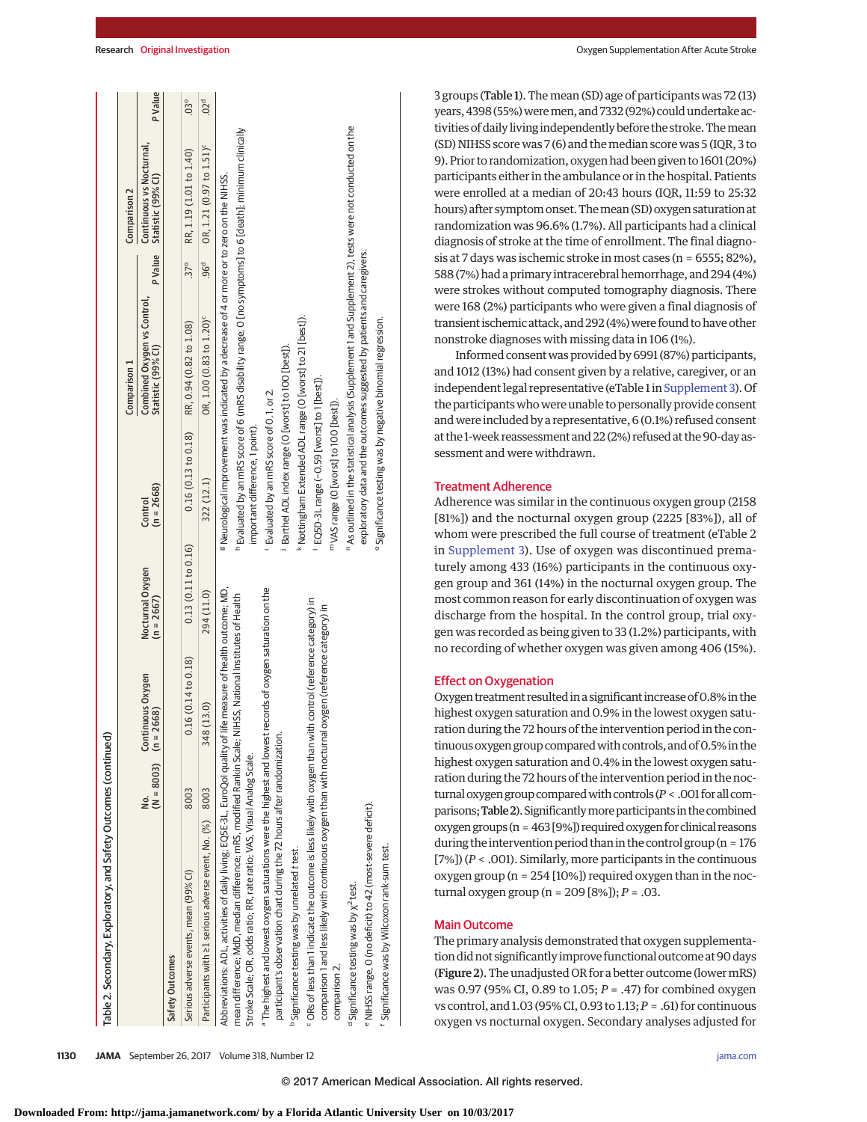|                                                                                                                                                                                                                                                                                                                                                                                                                                                                                                                                                                                                                                                                                                                                                                                                                                                                                                                                                                                 |                                     |                    |                                  | Control                                                                                                                                                                                                                                                                                                                                                          | Combined Oxygen vs Control,<br>Comparison 1                                                                                                                                                                                                                                                                                                                                                                  |                  | Continuous vs Nocturnal,<br>Comparison 2 |                 |
|---------------------------------------------------------------------------------------------------------------------------------------------------------------------------------------------------------------------------------------------------------------------------------------------------------------------------------------------------------------------------------------------------------------------------------------------------------------------------------------------------------------------------------------------------------------------------------------------------------------------------------------------------------------------------------------------------------------------------------------------------------------------------------------------------------------------------------------------------------------------------------------------------------------------------------------------------------------------------------|-------------------------------------|--------------------|----------------------------------|------------------------------------------------------------------------------------------------------------------------------------------------------------------------------------------------------------------------------------------------------------------------------------------------------------------------------------------------------------------|--------------------------------------------------------------------------------------------------------------------------------------------------------------------------------------------------------------------------------------------------------------------------------------------------------------------------------------------------------------------------------------------------------------|------------------|------------------------------------------|-----------------|
|                                                                                                                                                                                                                                                                                                                                                                                                                                                                                                                                                                                                                                                                                                                                                                                                                                                                                                                                                                                 | $(N = 8003)$ $(n = 2668)$<br>o<br>2 | Continuous Oxygen  | Nocturnal Oxygen<br>$(n = 2667)$ | $(n = 2668)$                                                                                                                                                                                                                                                                                                                                                     | Statistic (99% CI)                                                                                                                                                                                                                                                                                                                                                                                           | P Value          | Statistic (99% CI)                       | P Value         |
| Safety Outcomes                                                                                                                                                                                                                                                                                                                                                                                                                                                                                                                                                                                                                                                                                                                                                                                                                                                                                                                                                                 |                                     |                    |                                  |                                                                                                                                                                                                                                                                                                                                                                  |                                                                                                                                                                                                                                                                                                                                                                                                              |                  |                                          |                 |
| Serious adverse events, mean (99% CI)                                                                                                                                                                                                                                                                                                                                                                                                                                                                                                                                                                                                                                                                                                                                                                                                                                                                                                                                           | 8003                                | 0.16(0.14 to 0.18) | 0.13(0.11 to 0.16)               | 0.16(0.13 to 0.18)                                                                                                                                                                                                                                                                                                                                               | RR, 0.94 (0.82 to 1.08)                                                                                                                                                                                                                                                                                                                                                                                      | $37^{\circ}$     | RR, 1.19 (1.01 to 1.40)                  | $03^{\circ}$    |
| Participants with 21 serious adverse event, No. (%) 8003                                                                                                                                                                                                                                                                                                                                                                                                                                                                                                                                                                                                                                                                                                                                                                                                                                                                                                                        |                                     | 348 (13.0)         | 294 (11.0)                       | 322 (12.1)                                                                                                                                                                                                                                                                                                                                                       | OR, 1.00 (0.83 to 1.20) <sup>c</sup>                                                                                                                                                                                                                                                                                                                                                                         | .96 <sup>d</sup> | OR, 1.21 (0.97 to 1.51) <sup>c</sup>     | 02 <sup>d</sup> |
| The highest and lowest oxygen saturations were the highest and lowest records of oxygen saturation on the<br>Abbreviations: ADL, activities of daily living; EQ5E-3L, EuroQol quality of life measure of health outcome; MD,<br>mean difference; MdD, median difference; mRS, modified Rankin Scale; NIHSS, National Institutes of Health<br><sup>c</sup> ORs of less than 1 indicate the outcome is less likely with oxygen than with control (reference category) in<br>comparison 1 and less likely with continuous oxygen than with nocturnal oxygen (reference category) in<br>participant's observation chart during the 72 hours after randomization.<br>Stroke Scale; OR, odds ratio; RR, rate ratio; VAS, Visual Analog Scale.<br>NIHSS range, O (no deficit) to 42 (most-severe deficit).<br>Significance was by Wilcoxon rank-sum test.<br>Significance testing was by unrelated t test.<br><sup>d</sup> Significance testing was by $\chi^2$ test.<br>comparison 2. |                                     |                    |                                  | k Nottingham Extended ADL range (O [worst] to 21 [best]).<br><sup>o</sup> Significance testing was by negative binomial regression.<br>Barthel ADL index range (O [worst] to 100 [best]).<br>EQ5D-3L range (-0.59 [worst] to 1 [best]).<br>Evaluated by an mRS score of O, 1, or 2.<br>m VAS range (O [worst] to 100 [best]).<br>important difference, 1 point). | <sup>n</sup> As outlined in the statistical analysis (Supplement 1 and Supplement 2), tests were not conducted on the<br>h Evaluated by an mRS score of 6 (mRS disability range, O [no symptoms] to 6 [death]; minimum clinically<br>8 Neurological improvement was indicated by a decrease of 4 or more or to zero on the NIHSS.<br>exploratory data and the outcomes suggested by patients and caregivers. |                  |                                          |                 |

3 groups (Table 1). The mean (SD) age of participants was 72 (13) years, 4398 (55%) were men, and 7332 (92%) could undertake activities of daily living independently before the stroke.Themean (SD) NIHSS score was 7 (6) and themedian score was 5 (IQR, 3 to 9). Prior to randomization, oxygen had been given to 1601 (20%) participants either in the ambulance or in the hospital. Patients were enrolled at a median of 20:43 hours (IQR, 11:59 to 25:32 hours) after symptom onset.Themean (SD) oxygen saturation at randomization was 96.6% (1.7%). All participants had a clinical diagnosis of stroke at the time of enrollment. The final diagnosis at 7 days was ischemic stroke in most cases (n = 6555; 82%), 588 (7%) had a primary intracerebral hemorrhage, and 294 (4%) were strokes without computed tomography diagnosis. There were 168 (2%) participants who were given a final diagnosis of transient ischemic attack, and 292 (4%) were found to have other nonstroke diagnoses with missing data in 106 (1%).

Informed consentwas provided by 6991 (87%) participants, and 1012 (13%) had consent given by a relative, caregiver, or an independent legal representative (eTable 1 in [Supplement 3\)](http://jama.jamanetwork.com/article.aspx?doi=10.1001/jama.2017.11463&utm_campaign=articlePDF%26utm_medium=articlePDFlink%26utm_source=articlePDF%26utm_content=jama.2017.11463). Of the participants who were unable to personally provide consent and were included by a representative, 6 (0.1%) refused consent at the 1-week reassessment and 22 (2%) refused at the 90-day assessment and were withdrawn.

#### Treatment Adherence

Adherence was similar in the continuous oxygen group (2158 [81%]) and the nocturnal oxygen group (2225 [83%]), all of whom were prescribed the full course of treatment (eTable 2 in [Supplement 3\)](http://jama.jamanetwork.com/article.aspx?doi=10.1001/jama.2017.11463&utm_campaign=articlePDF%26utm_medium=articlePDFlink%26utm_source=articlePDF%26utm_content=jama.2017.11463). Use of oxygen was discontinued prematurely among 433 (16%) participants in the continuous oxygen group and 361 (14%) in the nocturnal oxygen group. The most common reason for early discontinuation of oxygen was discharge from the hospital. In the control group, trial oxygen was recorded as being given to 33 (1.2%) participants, with no recording of whether oxygen was given among 406 (15%).

#### Effect on Oxygenation

Oxygen treatment resulted in a significant increase of 0.8% in the highest oxygen saturation and 0.9% in the lowest oxygen saturation during the 72 hours of the intervention period in the continuous oxygen group compared with controls, and of 0.5% in the highest oxygen saturation and 0.4% in the lowest oxygen saturation during the 72 hours of the intervention period in the nocturnal oxygen group compared with controls ( $P < .001$  for all comparisons; Table 2). Significantly more participants in the combined oxygen groups ( $n = 463$  [9%]) required oxygen for clinical reasons during the intervention period than in the control group ( $n = 176$ ) [7%]) (*P* < .001). Similarly, more participants in the continuous oxygen group (n = 254 [10%]) required oxygen than in the nocturnal oxygen group (n = 209 [8%]); *P* = .03.

#### Main Outcome

The primary analysis demonstrated that oxygen supplementation did not significantly improve functional outcome at 90 days (Figure 2). The unadjusted OR for a better outcome (lowermRS) was 0.97 (95% CI, 0.89 to 1.05; *P* = .47) for combined oxygen vs control, and 1.03 (95% CI, 0.93 to 1.13;*P* = .61) for continuous oxygen vs nocturnal oxygen. Secondary analyses adjusted for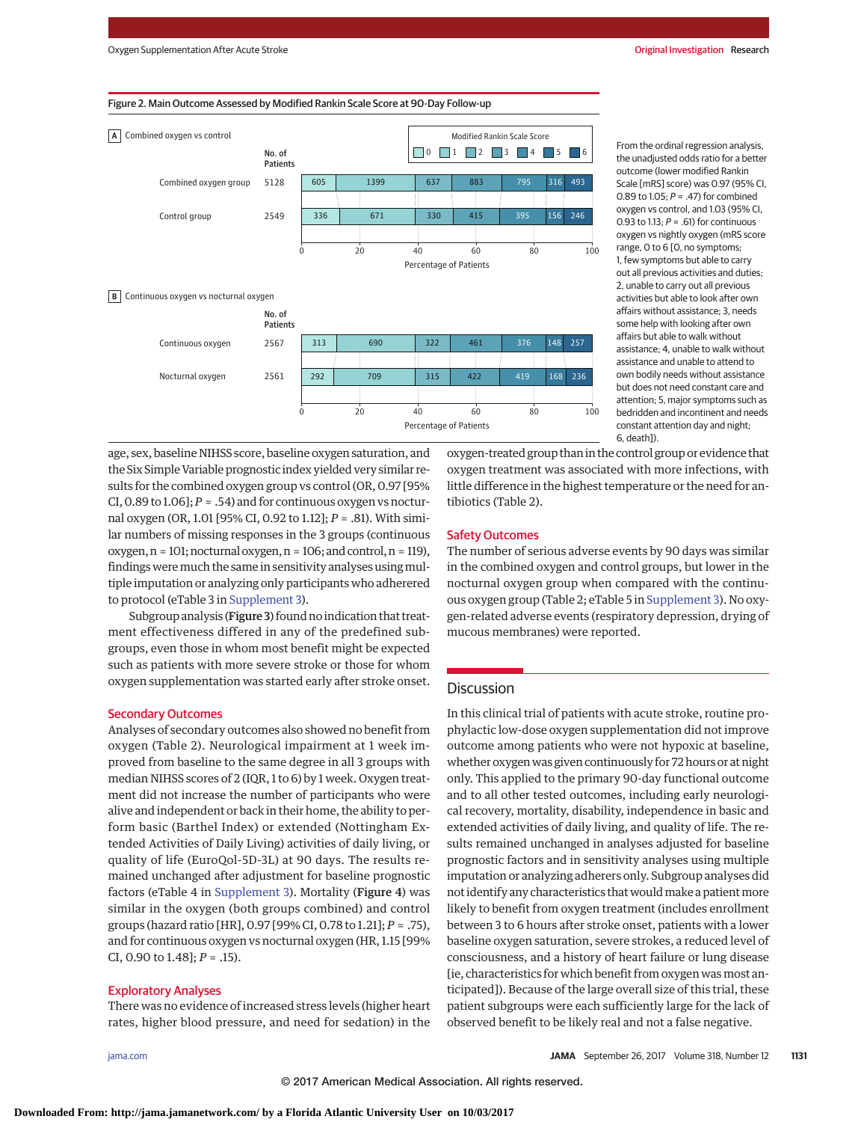



From the ordinal regression analysis, the unadjusted odds ratio for a better outcome (lower modified Rankin Scale [mRS] score) was 0.97 (95% CI, 0.89 to 1.05;  $P = .47$ ) for combined oxygen vs control, and 1.03 (95% CI, 0.93 to 1.13;  $P = .61$ ) for continuous oxygen vs nightly oxygen (mRS score range, 0 to 6 [0, no symptoms; 1, few symptoms but able to carry out all previous activities and duties; 2, unable to carry out all previous activities but able to look after own affairs without assistance; 3, needs some help with looking after own affairs but able to walk without assistance; 4, unable to walk without assistance and unable to attend to own bodily needs without assistance but does not need constant care and attention; 5, major symptoms such as bedridden and incontinent and needs constant attention day and night; 6, death]).

age, sex, baseline NIHSS score, baseline oxygen saturation, and the Six Simple Variable prognostic index yielded very similar results for the combined oxygen group vs control (OR, 0.97 [95% CI,  $0.89$  to  $1.06$ ];  $P = .54$ ) and for continuous oxygen vs nocturnal oxygen (OR, 1.01 [95% CI, 0.92 to 1.12]; *P* = .81). With similar numbers of missing responses in the 3 groups (continuous  $oxygen, n = 101; nocturnal oxygen, n = 106; and control, n = 119,$ findings were much the same in sensitivity analyses using multiple imputation or analyzing only participants who adherered to protocol (eTable 3 in [Supplement 3\)](http://jama.jamanetwork.com/article.aspx?doi=10.1001/jama.2017.11463&utm_campaign=articlePDF%26utm_medium=articlePDFlink%26utm_source=articlePDF%26utm_content=jama.2017.11463).

Subgroup analysis (Figure 3) found no indication that treatment effectiveness differed in any of the predefined subgroups, even those in whom most benefit might be expected such as patients with more severe stroke or those for whom oxygen supplementation was started early after stroke onset.

#### Secondary Outcomes

Analyses of secondary outcomes also showed no benefit from oxygen (Table 2). Neurological impairment at 1 week improved from baseline to the same degree in all 3 groups with median NIHSS scores of 2 (IQR, 1 to 6) by 1 week. Oxygen treatment did not increase the number of participants who were alive and independent or back in their home, the ability to perform basic (Barthel Index) or extended (Nottingham Extended Activities of Daily Living) activities of daily living, or quality of life (EuroQol-5D-3L) at 90 days. The results remained unchanged after adjustment for baseline prognostic factors (eTable 4 in [Supplement 3\)](http://jama.jamanetwork.com/article.aspx?doi=10.1001/jama.2017.11463&utm_campaign=articlePDF%26utm_medium=articlePDFlink%26utm_source=articlePDF%26utm_content=jama.2017.11463). Mortality (Figure 4) was similar in the oxygen (both groups combined) and control groups (hazard ratio [HR], 0.97 [99% CI, 0.78 to 1.21]; *P* = .75), and for continuous oxygen vs nocturnal oxygen (HR, 1.15 [99% CI, 0.90 to 1.48]; *P* = .15).

#### Exploratory Analyses

There was no evidence of increased stress levels (higher heart rates, higher blood pressure, and need for sedation) in the oxygen-treated group than in the control group or evidence that oxygen treatment was associated with more infections, with little difference in the highest temperature or the need for antibiotics (Table 2).

## Safety Outcomes

The number of serious adverse events by 90 days was similar in the combined oxygen and control groups, but lower in the nocturnal oxygen group when compared with the continuous oxygen group (Table 2; eTable 5 in [Supplement 3\)](http://jama.jamanetwork.com/article.aspx?doi=10.1001/jama.2017.11463&utm_campaign=articlePDF%26utm_medium=articlePDFlink%26utm_source=articlePDF%26utm_content=jama.2017.11463). No oxygen-related adverse events (respiratory depression, drying of mucous membranes) were reported.

## **Discussion**

In this clinical trial of patients with acute stroke, routine prophylactic low-dose oxygen supplementation did not improve outcome among patients who were not hypoxic at baseline, whether oxygen was given continuously for 72 hours or at night only. This applied to the primary 90-day functional outcome and to all other tested outcomes, including early neurological recovery, mortality, disability, independence in basic and extended activities of daily living, and quality of life. The results remained unchanged in analyses adjusted for baseline prognostic factors and in sensitivity analyses using multiple imputation or analyzing adherers only. Subgroup analyses did not identify any characteristics that would make a patient more likely to benefit from oxygen treatment (includes enrollment between 3 to 6 hours after stroke onset, patients with a lower baseline oxygen saturation, severe strokes, a reduced level of consciousness, and a history of heart failure or lung disease [ie, characteristics for which benefit from oxygen was most anticipated]). Because of the large overall size of this trial, these patient subgroups were each sufficiently large for the lack of observed benefit to be likely real and not a false negative.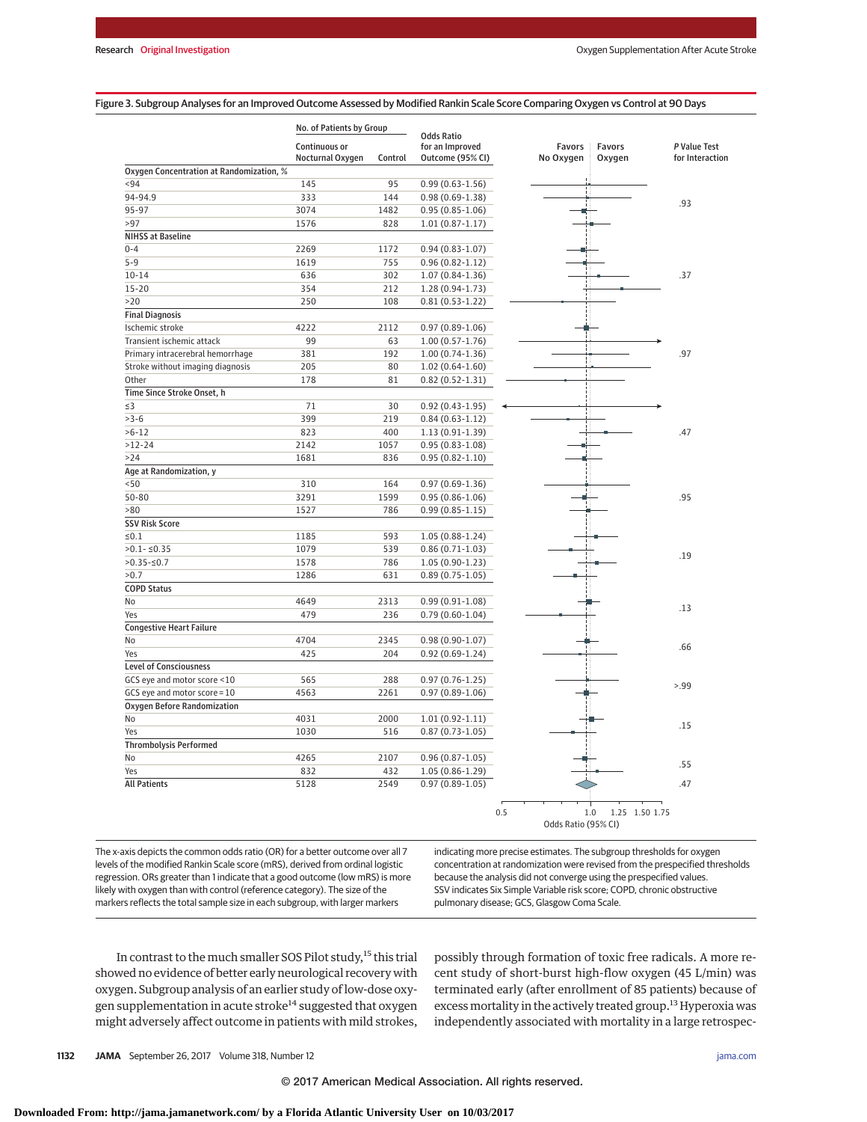#### Figure 3. Subgroup Analyses for an Improved Outcome Assessed by Modified Rankin Scale Score Comparing Oxygen vs Control at 90 Days

|                                          | No. of Patients by Group          |         | <b>Odds Ratio</b>                   |     |                            |                  |                                 |
|------------------------------------------|-----------------------------------|---------|-------------------------------------|-----|----------------------------|------------------|---------------------------------|
|                                          | Continuous or<br>Nocturnal Oxygen | Control | for an Improved<br>Outcome (95% CI) |     | Favors<br>No Oxygen        | Favors<br>Oxygen | P Value Test<br>for Interaction |
| Oxygen Concentration at Randomization, % |                                   |         |                                     |     |                            |                  |                                 |
| < 94                                     | 145                               | 95      | $0.99(0.63 - 1.56)$                 |     |                            |                  |                                 |
| 94-94.9                                  | 333                               | 144     | $0.98(0.69 - 1.38)$                 |     |                            |                  |                                 |
| 95-97                                    | 3074                              | 1482    | $0.95(0.85 - 1.06)$                 |     |                            |                  | .93                             |
| >97                                      | 1576                              | 828     | $1.01(0.87-1.17)$                   |     |                            |                  |                                 |
| <b>NIHSS at Baseline</b>                 |                                   |         |                                     |     |                            |                  |                                 |
| $0 - 4$                                  | 2269                              | 1172    | $0.94(0.83 - 1.07)$                 |     |                            |                  |                                 |
| $5 - 9$                                  | 1619                              | 755     | $0.96(0.82 - 1.12)$                 |     |                            |                  |                                 |
| $10 - 14$                                | 636                               | 302     | $1.07(0.84-1.36)$                   |     |                            |                  | .37                             |
| $15 - 20$                                | 354                               | 212     | $1.28(0.94-1.73)$                   |     |                            |                  |                                 |
| >20                                      | 250                               | 108     | $0.81(0.53 - 1.22)$                 |     |                            |                  |                                 |
| <b>Final Diagnosis</b>                   |                                   |         |                                     |     |                            |                  |                                 |
| Ischemic stroke                          | 4222                              | 2112    | $0.97(0.89 - 1.06)$                 |     |                            |                  |                                 |
| Transient ischemic attack                | 99                                | 63      | $1.00(0.57 - 1.76)$                 |     |                            |                  |                                 |
| Primary intracerebral hemorrhage         | 381                               | 192     | $1.00(0.74-1.36)$                   |     |                            |                  | .97                             |
| Stroke without imaging diagnosis         | 205                               | 80      | $1.02(0.64-1.60)$                   |     |                            |                  |                                 |
| Other                                    | 178                               | 81      | $0.82(0.52 - 1.31)$                 |     |                            |                  |                                 |
| Time Since Stroke Onset, h               |                                   |         |                                     |     |                            |                  |                                 |
| $\leq$ 3                                 | 71                                | 30      | $0.92(0.43 - 1.95)$                 |     |                            |                  |                                 |
| $>3-6$                                   | 399                               | 219     | $0.84(0.63-1.12)$                   |     |                            |                  |                                 |
| $>6-12$                                  | 823                               | 400     | $1.13(0.91-1.39)$                   |     |                            |                  | .47                             |
| $>12-24$                                 | 2142                              | 1057    | $0.95(0.83 - 1.08)$                 |     |                            |                  |                                 |
| $>24$                                    | 1681                              | 836     | $0.95(0.82 - 1.10)$                 |     |                            |                  |                                 |
| Age at Randomization, y                  |                                   |         |                                     |     |                            |                  |                                 |
| < 50                                     | 310                               | 164     | $0.97(0.69-1.36)$                   |     |                            |                  |                                 |
| 50-80                                    | 3291                              | 1599    | $0.95(0.86 - 1.06)$                 |     |                            |                  | .95                             |
| >80                                      | 1527                              | 786     | $0.99(0.85 - 1.15)$                 |     |                            |                  |                                 |
| <b>SSV Risk Score</b>                    |                                   |         |                                     |     |                            |                  |                                 |
| $≤0.1$                                   | 1185                              | 593     | $1.05(0.88-1.24)$                   |     |                            |                  |                                 |
| $>0.1 - 50.35$                           | 1079                              | 539     | $0.86(0.71-1.03)$                   |     |                            |                  |                                 |
| $>0.35 - 50.7$                           | 1578                              | 786     | $1.05(0.90-1.23)$                   |     |                            |                  | .19                             |
| >0.7                                     | 1286                              | 631     | $0.89(0.75-1.05)$                   |     |                            |                  |                                 |
| <b>COPD Status</b>                       |                                   |         |                                     |     |                            |                  |                                 |
| No                                       | 4649                              | 2313    | $0.99(0.91-1.08)$                   |     |                            |                  |                                 |
| Yes                                      | 479                               | 236     | $0.79(0.60-1.04)$                   |     |                            |                  | .13                             |
| <b>Congestive Heart Failure</b>          |                                   |         |                                     |     |                            |                  |                                 |
| No                                       | 4704                              | 2345    | $0.98(0.90-1.07)$                   |     |                            |                  |                                 |
| Yes                                      | 425                               | 204     | $0.92(0.69-1.24)$                   |     |                            |                  | .66                             |
| <b>Level of Consciousness</b>            |                                   |         |                                     |     |                            |                  |                                 |
| GCS eye and motor score <10              | 565                               | 288     | $0.97(0.76 - 1.25)$                 |     |                            |                  |                                 |
| GCS eye and motor score = 10             | 4563                              | 2261    | $0.97(0.89-1.06)$                   |     |                            |                  | > .99                           |
| Oxygen Before Randomization              |                                   |         |                                     |     |                            |                  |                                 |
| No                                       | 4031                              | 2000    | $1.01(0.92 - 1.11)$                 |     |                            |                  |                                 |
| Yes                                      | 1030                              | 516     | $0.87(0.73-1.05)$                   |     |                            |                  | .15                             |
| <b>Thrombolysis Performed</b>            |                                   |         |                                     |     |                            |                  |                                 |
| <b>No</b>                                | 4265                              | 2107    | $0.96(0.87 - 1.05)$                 |     |                            |                  |                                 |
| Yes                                      | 832                               | 432     | $1.05(0.86-1.29)$                   |     |                            |                  | .55                             |
| <b>All Patients</b>                      | 5128                              | 2549    | $0.97(0.89 - 1.05)$                 |     |                            |                  | .47                             |
|                                          |                                   |         |                                     |     |                            |                  |                                 |
|                                          |                                   |         |                                     | 0.5 | 1.0<br>Odds Ratio (95% CI) | 1.25 1.50 1.75   |                                 |

The x-axis depicts the common odds ratio (OR) for a better outcome over all 7 levels of the modified Rankin Scale score (mRS), derived from ordinal logistic regression. ORs greater than 1 indicate that a good outcome (low mRS) is more likely with oxygen than with control (reference category). The size of the markers reflects the total sample size in each subgroup, with larger markers

indicating more precise estimates. The subgroup thresholds for oxygen concentration at randomization were revised from the prespecified thresholds because the analysis did not converge using the prespecified values. SSV indicates Six Simple Variable risk score; COPD, chronic obstructive pulmonary disease; GCS, Glasgow Coma Scale.

In contrast to the much smaller SOS Pilot study,<sup>15</sup> this trial showed no evidence of better early neurological recovery with oxygen. Subgroup analysis of an earlier study of low-dose oxygen supplementation in acute stroke<sup>14</sup> suggested that oxygen might adversely affect outcome in patients with mild strokes, possibly through formation of toxic free radicals. A more recent study of short-burst high-flow oxygen (45 L/min) was terminated early (after enrollment of 85 patients) because of excess mortality in the actively treated group.<sup>13</sup> Hyperoxia was independently associated with mortality in a large retrospec-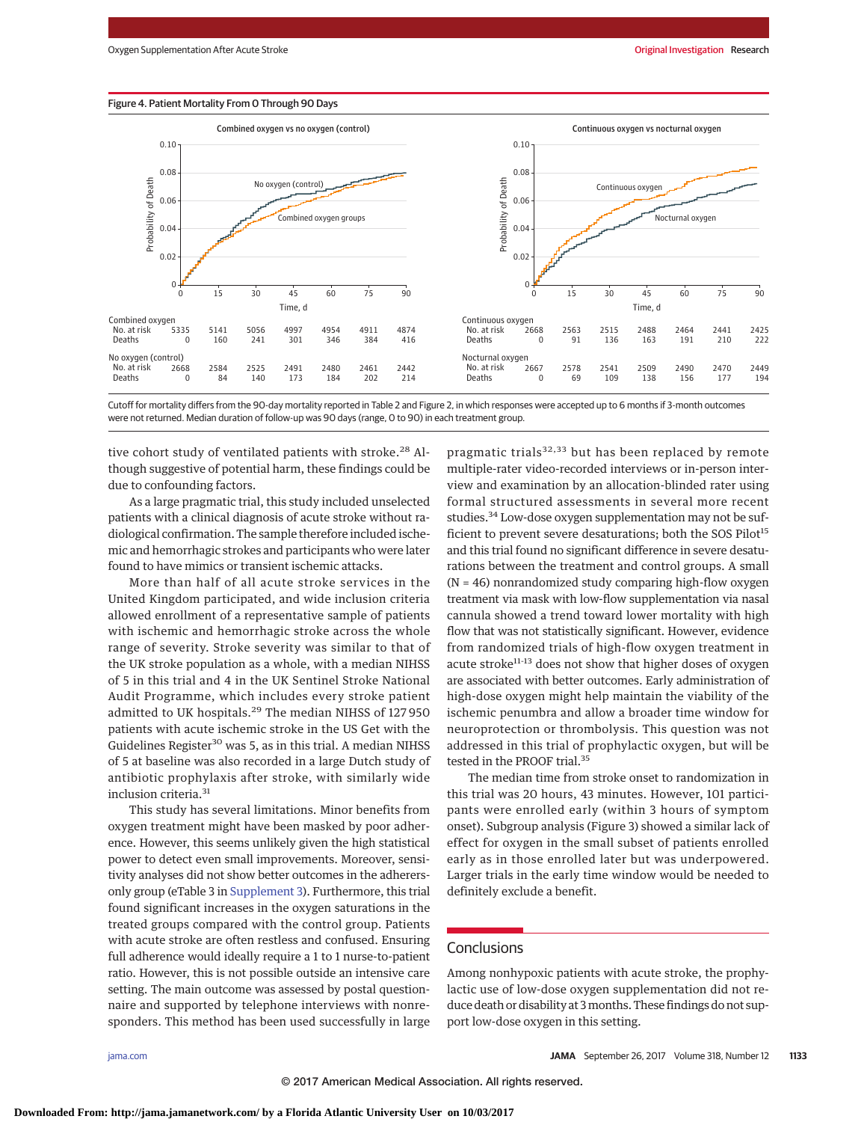#### Figure 4. Patient Mortality From 0 Through 90 Days



Cutoff for mortality differs from the 90-day mortality reported in Table 2 and Figure 2, in which responses were accepted up to 6 months if 3-month outcomes were not returned. Median duration of follow-up was 90 days (range, 0 to 90) in each treatment group.

tive cohort study of ventilated patients with stroke.<sup>28</sup> Although suggestive of potential harm, these findings could be due to confounding factors.

As a large pragmatic trial, this study included unselected patients with a clinical diagnosis of acute stroke without radiological confirmation. The sample therefore included ischemic and hemorrhagic strokes and participants who were later found to have mimics or transient ischemic attacks.

More than half of all acute stroke services in the United Kingdom participated, and wide inclusion criteria allowed enrollment of a representative sample of patients with ischemic and hemorrhagic stroke across the whole range of severity. Stroke severity was similar to that of the UK stroke population as a whole, with a median NIHSS of 5 in this trial and 4 in the UK Sentinel Stroke National Audit Programme, which includes every stroke patient admitted to UK hospitals.<sup>29</sup> The median NIHSS of 127 950 patients with acute ischemic stroke in the US Get with the Guidelines Register<sup>30</sup> was 5, as in this trial. A median NIHSS of 5 at baseline was also recorded in a large Dutch study of antibiotic prophylaxis after stroke, with similarly wide inclusion criteria.<sup>31</sup>

This study has several limitations. Minor benefits from oxygen treatment might have been masked by poor adherence. However, this seems unlikely given the high statistical power to detect even small improvements. Moreover, sensitivity analyses did not show better outcomes in the adherersonly group (eTable 3 in [Supplement 3\)](http://jama.jamanetwork.com/article.aspx?doi=10.1001/jama.2017.11463&utm_campaign=articlePDF%26utm_medium=articlePDFlink%26utm_source=articlePDF%26utm_content=jama.2017.11463). Furthermore, this trial found significant increases in the oxygen saturations in the treated groups compared with the control group. Patients with acute stroke are often restless and confused. Ensuring full adherence would ideally require a 1 to 1 nurse-to-patient ratio. However, this is not possible outside an intensive care setting. The main outcome was assessed by postal questionnaire and supported by telephone interviews with nonresponders. This method has been used successfully in large

pragmatic trials $32,33$  but has been replaced by remote multiple-rater video-recorded interviews or in-person interview and examination by an allocation-blinded rater using formal structured assessments in several more recent studies.<sup>34</sup> Low-dose oxygen supplementation may not be sufficient to prevent severe desaturations; both the SOS Pilot<sup>15</sup> and this trial found no significant difference in severe desaturations between the treatment and control groups. A small (N = 46) nonrandomized study comparing high-flow oxygen treatment via mask with low-flow supplementation via nasal cannula showed a trend toward lower mortality with high flow that was not statistically significant. However, evidence from randomized trials of high-flow oxygen treatment in acute stroke $11-13$  does not show that higher doses of oxygen are associated with better outcomes. Early administration of high-dose oxygen might help maintain the viability of the ischemic penumbra and allow a broader time window for neuroprotection or thrombolysis. This question was not addressed in this trial of prophylactic oxygen, but will be tested in the PROOF trial.<sup>35</sup>

The median time from stroke onset to randomization in this trial was 20 hours, 43 minutes. However, 101 participants were enrolled early (within 3 hours of symptom onset). Subgroup analysis (Figure 3) showed a similar lack of effect for oxygen in the small subset of patients enrolled early as in those enrolled later but was underpowered. Larger trials in the early time window would be needed to definitely exclude a benefit.

## **Conclusions**

Among nonhypoxic patients with acute stroke, the prophylactic use of low-dose oxygen supplementation did not reduce death or disability at 3months. These findings do not support low-dose oxygen in this setting.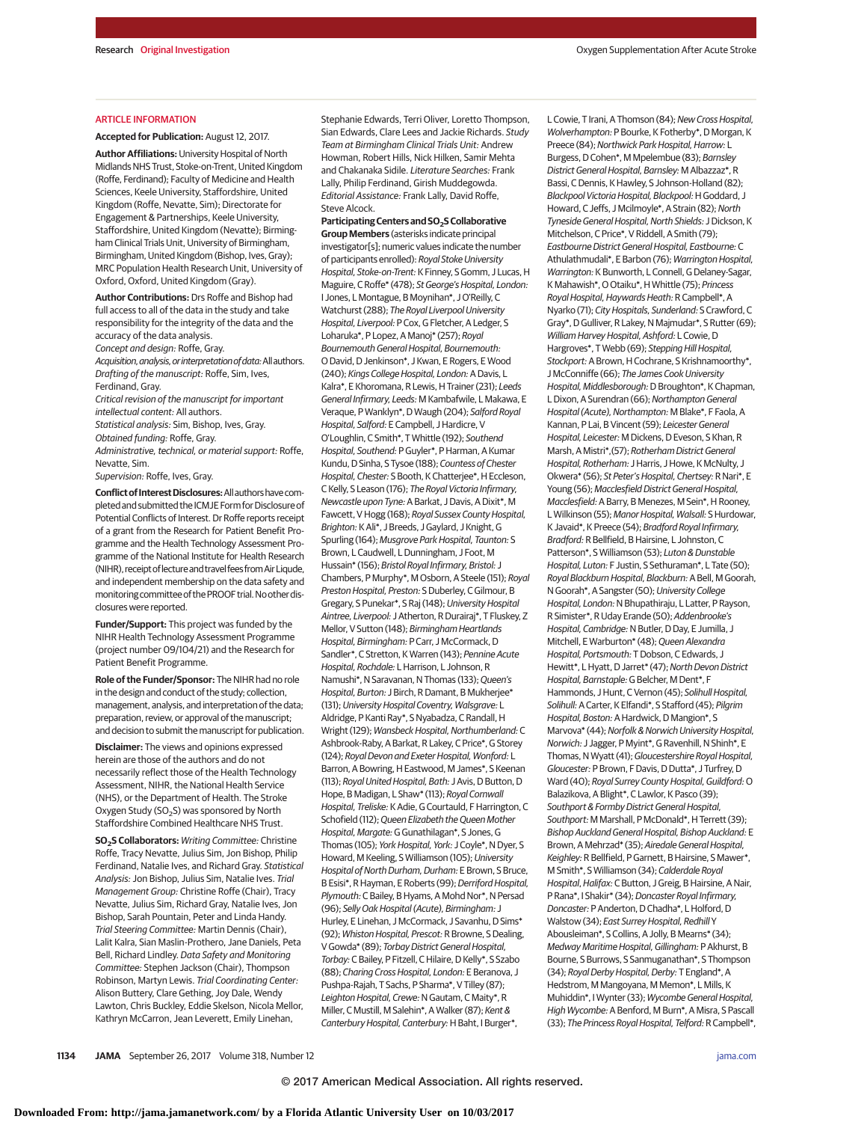#### ARTICLE INFORMATION

**Accepted for Publication:** August 12, 2017.

**Author Affiliations:** University Hospital of North Midlands NHS Trust, Stoke-on-Trent, United Kingdom (Roffe, Ferdinand); Faculty of Medicine and Health Sciences, Keele University, Staffordshire, United Kingdom (Roffe, Nevatte, Sim); Directorate for Engagement & Partnerships, Keele University, Staffordshire, United Kingdom (Nevatte); Birmingham Clinical Trials Unit, University of Birmingham, Birmingham, United Kingdom (Bishop, Ives, Gray); MRC Population Health Research Unit, University of Oxford, Oxford, United Kingdom (Gray).

**Author Contributions:** Drs Roffe and Bishop had full access to all of the data in the study and take responsibility for the integrity of the data and the accuracy of the data analysis. Concept and design: Roffe, Gray. Acquisition, analysis, or interpretation of data: All authors. Drafting of the manuscript: Roffe, Sim, Ives,

Ferdinand, Gray. Critical revision of the manuscript for important intellectual content: All authors. Statistical analysis: Sim, Bishop, Ives, Gray. Obtained funding: Roffe, Gray. Administrative, technical, or material support: Roffe, Nevatte, Sim.

Supervision: Roffe, Ives, Gray.

**Conflict ofInterestDisclosures:**Allauthorshavecompleted and submitted the ICMJE Form for Disclosure of Potential Conflicts of Interest. Dr Roffe reports receipt of a grant from the Research for Patient Benefit Programme and the Health Technology Assessment Programme of the National Institute for Health Research (NIHR), receipt of lecture and travel fees from Air Liqude. and independent membership on the data safety and monitoring committee of the PROOF trial. No other disclosures were reported.

**Funder/Support:** This project was funded by the NIHR Health Technology Assessment Programme (project number 09/104/21) and the Research for Patient Benefit Programme.

**Role of the Funder/Sponsor:** The NIHR had no role in the design and conduct of the study; collection, management, analysis, and interpretation of the data; preparation, review, or approval of the manuscript; and decision to submit the manuscript for publication.

**Disclaimer:** The views and opinions expressed herein are those of the authors and do not necessarily reflect those of the Health Technology Assessment, NIHR, the National Health Service (NHS), or the Department of Health. The Stroke Oxygen Study (SO<sub>2</sub>S) was sponsored by North Staffordshire Combined Healthcare NHS Trust.

**SO2S Collaborators:** Writing Committee: Christine Roffe, Tracy Nevatte, Julius Sim, Jon Bishop, Philip Ferdinand, Natalie Ives, and Richard Gray. Statistical Analysis: Jon Bishop, Julius Sim, Natalie Ives. Trial Management Group: Christine Roffe (Chair), Tracy Nevatte, Julius Sim, Richard Gray, Natalie Ives, Jon Bishop, Sarah Pountain, Peter and Linda Handy. Trial Steering Committee: Martin Dennis (Chair), Lalit Kalra, Sian Maslin-Prothero, Jane Daniels, Peta Bell, Richard Lindley. Data Safety and Monitoring Committee: Stephen Jackson (Chair), Thompson Robinson, Martyn Lewis. Trial Coordinating Center: Alison Buttery, Clare Gething, Joy Dale, Wendy Lawton, Chris Buckley, Eddie Skelson, Nicola Mellor, Kathryn McCarron, Jean Leverett, Emily Linehan,

Stephanie Edwards, Terri Oliver, Loretto Thompson, Sian Edwards, Clare Lees and Jackie Richards. Study Team at Birmingham Clinical Trials Unit: Andrew Howman, Robert Hills, Nick Hilken, Samir Mehta and Chakanaka Sidile. Literature Searches: Frank Lally, Philip Ferdinand, Girish Muddegowda. Editorial Assistance: Frank Lally, David Roffe, Steve Alcock.

Participating Centers and SO<sub>2</sub>S Collaborative **Group Members** (asterisks indicate principal investigator[s]; numeric values indicate the number of participants enrolled): Royal Stoke University Hospital, Stoke-on-Trent: K Finney, S Gomm, J Lucas, H Maguire, C Roffe\* (478); St George's Hospital, London: I Jones, L Montague, B Moynihan\*, J O'Reilly, C Watchurst (288); The Royal Liverpool University Hospital, Liverpool: P Cox, G Fletcher, A Ledger, S Loharuka\*, P Lopez, A Manoj\* (257); Royal Bournemouth General Hospital, Bournemouth: O David, D Jenkinson\*, J Kwan, E Rogers, E Wood (240); Kings College Hospital, London: A Davis, L Kalra\*, E Khoromana, R Lewis, H Trainer (231); Leeds General Infirmary, Leeds: M Kambafwile, L Makawa, E Veraque, P Wanklyn\*, D Waugh (204); Salford Royal Hospital, Salford: E Campbell, J Hardicre, V O'Loughlin, C Smith\*, T Whittle (192); Southend Hospital, Southend: P Guyler\*, P Harman, A Kumar Kundu, D Sinha, S Tysoe (188); Countess of Chester Hospital, Chester: S Booth, K Chatterjee\*, H Eccleson, C Kelly, S Leason (176); The Royal Victoria Infirmary, Newcastle upon Tyne: A Barkat, J Davis, A Dixit\*, M Fawcett, V Hogg (168); Royal Sussex County Hospital, Brighton: K Ali\*, J Breeds, J Gaylard, J Knight, G Spurling (164); Musgrove Park Hospital, Taunton: S Brown, L Caudwell, L Dunningham, J Foot, M Hussain\* (156); Bristol Royal Infirmary, Bristol: J Chambers, P Murphy\*, M Osborn, A Steele (151); Royal Preston Hospital, Preston: S Duberley, C Gilmour, B Gregary, S Punekar\*, S Raj (148); University Hospital Aintree, Liverpool: J Atherton, R Durairaj\*, T Fluskey, Z Mellor, V Sutton (148); Birmingham Heartlands Hospital, Birmingham: P Carr, J McCormack, D Sandler\*, C Stretton, K Warren (143); Pennine Acute Hospital, Rochdale: L Harrison, L Johnson, R Namushi\*, N Saravanan, N Thomas (133); Queen's Hospital, Burton: J Birch, R Damant, B Mukherjee\* (131); University Hospital Coventry, Walsgrave: L Aldridge, P Kanti Ray\*, S Nyabadza, C Randall, H Wright (129); Wansbeck Hospital, Northumberland: C Ashbrook-Raby, A Barkat, R Lakey, C Price\*, G Storey (124); Royal Devon and Exeter Hospital, Wonford: L Barron, A Bowring, H Eastwood, M James\*, S Keenan (113); Royal United Hospital, Bath: J Avis, D Button, D Hope, B Madigan, L Shaw\* (113); Royal Cornwall Hospital, Treliske: K Adie, G Courtauld, F Harrington, C Schofield (112); Queen Elizabeth the Queen Mother Hospital, Margate:G Gunathilagan\*, S Jones, G Thomas (105); York Hospital, York: J Coyle\*, N Dyer, S Howard, M Keeling, S Williamson (105);University Hospital of North Durham, Durham: E Brown, S Bruce, B Esisi\*, R Hayman, E Roberts (99); Derriford Hospital, Plymouth: C Bailey, B Hyams, A Mohd Nor\*, N Persad (96); Selly Oak Hospital (Acute), Birmingham: J Hurley, E Linehan, J McCormack, J Savanhu, D Sims\* (92); Whiston Hospital, Prescot: R Browne, S Dealing, V Gowda\* (89); Torbay District General Hospital, Torbay: C Bailey, P Fitzell, C Hilaire, D Kelly\*, S Szabo (88); Charing Cross Hospital, London: E Beranova, J Pushpa-Rajah, T Sachs, P Sharma\*, V Tilley (87); Leighton Hospital, Crewe: N Gautam, C Maity\*, R Miller, C Mustill, M Salehin\*, A Walker (87); Kent & Canterbury Hospital, Canterbury: H Baht, I Burger\*,

L Cowie, T Irani, A Thomson (84); New Cross Hospital, Wolverhampton: P Bourke, K Fotherby\*, D Morgan, K Preece (84); Northwick Park Hospital, Harrow: L Burgess, D Cohen\*, M Mpelembue (83); Barnsley District General Hospital, Barnsley: M Albazzaz\*, R Bassi, C Dennis, K Hawley, S Johnson-Holland (82); Blackpool Victoria Hospital, Blackpool: H Goddard, J Howard, C Jeffs, J Mcilmoyle\*, A Strain (82); North Tyneside General Hospital, North Shields: J Dickson, K Mitchelson, C Price\*, V Riddell, A Smith (79); Eastbourne District General Hospital, Eastbourne: C Athulathmudali\*, E Barbon (76); Warrington Hospital, Warrington: K Bunworth, L Connell, G Delaney-Sagar, K Mahawish\*, O Otaiku\*, H Whittle (75); Princess Royal Hospital, Haywards Heath: R Campbell\*, A Nyarko (71); City Hospitals, Sunderland: S Crawford, C Gray\*, D Gulliver, R Lakey, N Majmudar\*, S Rutter (69); William Harvey Hospital, Ashford: L Cowie, D Hargroves\*, T Webb (69); Stepping Hill Hospital, Stockport: A Brown, H Cochrane, S Krishnamoorthy\*, J McConniffe (66); The James Cook University Hospital, Middlesborough: D Broughton\*, K Chapman, L Dixon, A Surendran (66); Northampton General Hospital (Acute), Northampton: M Blake\*, F Faola, A Kannan, P Lai, B Vincent (59); Leicester General Hospital, Leicester: M Dickens, D Eveson, S Khan, R Marsh, A Mistri\*,(57); Rotherham District General Hospital, Rotherham: J Harris, J Howe, K McNulty, J Okwera\* (56); St Peter's Hospital, Chertsey:R Nari\*, E Young (56); Macclesfield District General Hospital, Macclesfield: A Barry, B Menezes, M Sein\*, H Rooney, L Wilkinson (55); Manor Hospital, Walsall: S Hurdowar, K Javaid\*, K Preece (54); Bradford Royal Infirmary, Bradford:R Bellfield, B Hairsine, L Johnston, C Patterson\*, S Williamson (53); Luton & Dunstable Hospital, Luton: F Justin, S Sethuraman\*, L Tate (50); Royal Blackburn Hospital, Blackburn: A Bell, M Goorah, N Goorah\*, A Sangster (50); University College Hospital, London: N Bhupathiraju, L Latter, P Rayson, R Simister\*, R Uday Erande (50); Addenbrooke's Hospital, Cambridge: N Butler, D Day, E Jumilla, J Mitchell, E Warburton\* (48); Queen Alexandra Hospital, Portsmouth: T Dobson, C Edwards, J Hewitt\*, L Hyatt, D Jarret\* (47): North Devon District Hospital, Barnstaple:G Belcher, M Dent\*, F Hammonds, J Hunt, C Vernon (45); Solihull Hospital, Solihull:A Carter, K Elfandi\*, S Stafford (45); Pilgrim Hospital, Boston: A Hardwick, D Mangion\*, S Marvova\* (44); Norfolk & Norwich University Hospital, Norwich: J Jagger, P Myint\*, G Ravenhill, N Shinh\*, E Thomas, N Wyatt (41); Gloucestershire Royal Hospital, Gloucester: P Brown, F Davis, D Dutta\*, J Turfrey, D Ward (40); Royal Surrey County Hospital, Guildford: O Balazikova, A Blight\*, C Lawlor, K Pasco (39); Southport & Formby District General Hospital, Southport: M Marshall, P McDonald\*, H Terrett (39); Bishop Auckland General Hospital, Bishop Auckland: E Brown, A Mehrzad\* (35); Airedale General Hospital, Keighley:R Bellfield, P Garnett, B Hairsine, S Mawer\*, M Smith\*, S Williamson (34); Calderdale Royal Hospital, Halifax: C Button, J Greig, B Hairsine, A Nair, P Rana\*, I Shakir\* (34); Doncaster Royal Infirmary Doncaster: P Anderton, D Chadha\*, L Holford, D Walstow (34); East Surrey Hospital, Redhill Y Abousleiman\*, S Collins, A Jolly, B Mearns\* (34); Medway Maritime Hospital, Gillingham: P Akhurst, B Bourne, S Burrows, S Sanmuganathan\*, S Thompson (34); Royal Derby Hospital, Derby: T England\*, A Hedstrom, M Mangoyana, M Memon\*, L Mills, K Muhiddin\*, I Wynter (33); Wycombe General Hospital, High Wycombe: A Benford, M Burn\*, A Misra, S Pascall (33); The Princess Royal Hospital, Telford: R Campbell\*,